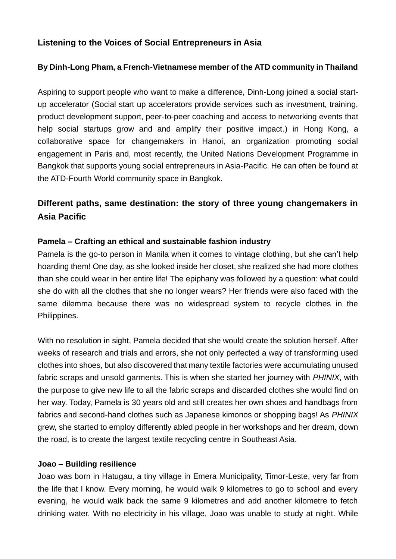## **Listening to the Voices of Social Entrepreneurs in Asia**

## **By Dinh-Long Pham, a French-Vietnamese member of the ATD community in Thailand**

Aspiring to support people who want to make a difference, Dinh-Long joined a social startup accelerator (Social start up accelerators provide services such as investment, training, product development support, peer-to-peer coaching and access to networking events that help social startups grow and and amplify their positive impact.) in Hong Kong, a collaborative space for changemakers in Hanoi, an organization promoting social engagement in Paris and, most recently, the United Nations Development Programme in Bangkok that supports young social entrepreneurs in Asia-Pacific. He can often be found at the ATD-Fourth World community space in Bangkok.

# **Different paths, same destination: the story of three young changemakers in Asia Pacific**

### **Pamela – Crafting an ethical and sustainable fashion industry**

Pamela is the go-to person in Manila when it comes to vintage clothing, but she can't help hoarding them! One day, as she looked inside her closet, she realized she had more clothes than she could wear in her entire life! The epiphany was followed by a question: what could she do with all the clothes that she no longer wears? Her friends were also faced with the same dilemma because there was no widespread system to recycle clothes in the Philippines.

With no resolution in sight, Pamela decided that she would create the solution herself. After weeks of research and trials and errors, she not only perfected a way of transforming used clothes into shoes, but also discovered that many textile factories were accumulating unused fabric scraps and unsold garments. This is when she started her journey with *PHINIX*, with the purpose to give new life to all the fabric scraps and discarded clothes she would find on her way. Today, Pamela is 30 years old and still creates her own shoes and handbags from fabrics and second-hand clothes such as Japanese kimonos or shopping bags! As *PHINIX* grew, she started to employ differently abled people in her workshops and her dream, down the road, is to create the largest textile recycling centre in Southeast Asia.

#### **Joao – Building resilience**

Joao was born in Hatugau, a tiny village in Emera Municipality, Timor-Leste, very far from the life that I know. Every morning, he would walk 9 kilometres to go to school and every evening, he would walk back the same 9 kilometres and add another kilometre to fetch drinking water. With no electricity in his village, Joao was unable to study at night. While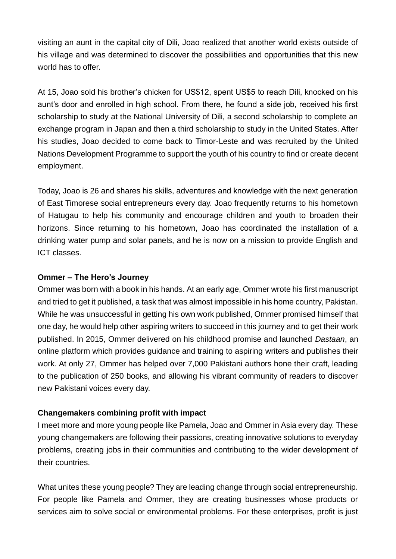visiting an aunt in the capital city of Dili, Joao realized that another world exists outside of his village and was determined to discover the possibilities and opportunities that this new world has to offer.

At 15, Joao sold his brother's chicken for US\$12, spent US\$5 to reach Dili, knocked on his aunt's door and enrolled in high school. From there, he found a side job, received his first scholarship to study at the National University of Dili, a second scholarship to complete an exchange program in Japan and then a third scholarship to study in the United States. After his studies, Joao decided to come back to Timor-Leste and was recruited by the United Nations Development Programme to support the youth of his country to find or create decent employment.

Today, Joao is 26 and shares his skills, adventures and knowledge with the next generation of East Timorese social entrepreneurs every day. Joao frequently returns to his hometown of Hatugau to help his community and encourage children and youth to broaden their horizons. Since returning to his hometown, Joao has coordinated the installation of a drinking water pump and solar panels, and he is now on a mission to provide English and ICT classes.

#### **Ommer – The Hero's Journey**

Ommer was born with a book in his hands. At an early age, Ommer wrote his first manuscript and tried to get it published, a task that was almost impossible in his home country, Pakistan. While he was unsuccessful in getting his own work published, Ommer promised himself that one day, he would help other aspiring writers to succeed in this journey and to get their work published. In 2015, Ommer delivered on his childhood promise and launched *Dastaan*, an online platform which provides guidance and training to aspiring writers and publishes their work. At only 27, Ommer has helped over 7,000 Pakistani authors hone their craft, leading to the publication of 250 books, and allowing his vibrant community of readers to discover new Pakistani voices every day.

### **Changemakers combining profit with impact**

I meet more and more young people like Pamela, Joao and Ommer in Asia every day. These young changemakers are following their passions, creating innovative solutions to everyday problems, creating jobs in their communities and contributing to the wider development of their countries.

What unites these young people? They are leading change through social entrepreneurship. For people like Pamela and Ommer, they are creating businesses whose products or services aim to solve social or environmental problems. For these enterprises, profit is just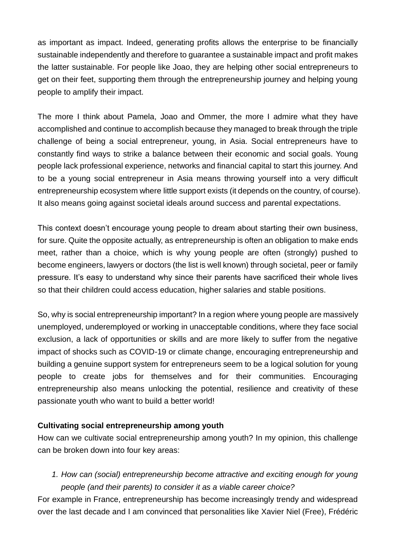as important as impact. Indeed, generating profits allows the enterprise to be financially sustainable independently and therefore to guarantee a sustainable impact and profit makes the latter sustainable. For people like Joao, they are helping other social entrepreneurs to get on their feet, supporting them through the entrepreneurship journey and helping young people to amplify their impact.

The more I think about Pamela, Joao and Ommer, the more I admire what they have accomplished and continue to accomplish because they managed to break through the triple challenge of being a social entrepreneur, young, in Asia. Social entrepreneurs have to constantly find ways to strike a balance between their economic and social goals. Young people lack professional experience, networks and financial capital to start this journey. And to be a young social entrepreneur in Asia means throwing yourself into a very difficult entrepreneurship ecosystem where little support exists (it depends on the country, of course). It also means going against societal ideals around success and parental expectations.

This context doesn't encourage young people to dream about starting their own business, for sure. Quite the opposite actually, as entrepreneurship is often an obligation to make ends meet, rather than a choice, which is why young people are often (strongly) pushed to become engineers, lawyers or doctors (the list is well known) through societal, peer or family pressure. It's easy to understand why since their parents have sacrificed their whole lives so that their children could access education, higher salaries and stable positions.

So, why is social entrepreneurship important? In a region where young people are massively unemployed, underemployed or working in unacceptable conditions, where they face social exclusion, a lack of opportunities or skills and are more likely to suffer from the negative impact of shocks such as COVID-19 or climate change, encouraging entrepreneurship and building a genuine support system for entrepreneurs seem to be a logical solution for young people to create jobs for themselves and for their communities. Encouraging entrepreneurship also means unlocking the potential, resilience and creativity of these passionate youth who want to build a better world!

### **Cultivating social entrepreneurship among youth**

How can we cultivate social entrepreneurship among youth? In my opinion, this challenge can be broken down into four key areas:

*1. How can (social) entrepreneurship become attractive and exciting enough for young people (and their parents) to consider it as a viable career choice?*

For example in France, entrepreneurship has become increasingly trendy and widespread over the last decade and I am convinced that personalities like Xavier Niel (Free), Frédéric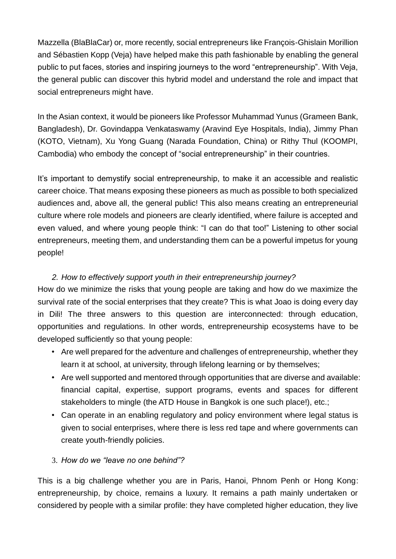Mazzella (BlaBlaCar) or, more recently, social entrepreneurs like François-Ghislain Morillion and Sébastien Kopp (Veja) have helped make this path fashionable by enabling the general public to put faces, stories and inspiring journeys to the word "entrepreneurship". With Veja, the general public can discover this hybrid model and understand the role and impact that social entrepreneurs might have.

In the Asian context, it would be pioneers like Professor Muhammad Yunus (Grameen Bank, Bangladesh), Dr. Govindappa Venkataswamy (Aravind Eye Hospitals, India), Jimmy Phan (KOTO, Vietnam), Xu Yong Guang (Narada Foundation, China) or Rithy Thul (KOOMPI, Cambodia) who embody the concept of "social entrepreneurship" in their countries.

It's important to demystify social entrepreneurship, to make it an accessible and realistic career choice. That means exposing these pioneers as much as possible to both specialized audiences and, above all, the general public! This also means creating an entrepreneurial culture where role models and pioneers are clearly identified, where failure is accepted and even valued, and where young people think: "I can do that too!" Listening to other social entrepreneurs, meeting them, and understanding them can be a powerful impetus for young people!

## *2. How to effectively support youth in their entrepreneurship journey?*

How do we minimize the risks that young people are taking and how do we maximize the survival rate of the social enterprises that they create? This is what Joao is doing every day in Dili! The three answers to this question are interconnected: through education, opportunities and regulations. In other words, entrepreneurship ecosystems have to be developed sufficiently so that young people:

- Are well prepared for the adventure and challenges of entrepreneurship, whether they learn it at school, at university, through lifelong learning or by themselves;
- Are well supported and mentored through opportunities that are diverse and available: financial capital, expertise, support programs, events and spaces for different stakeholders to mingle (the ATD House in Bangkok is one such place!), etc.;
- Can operate in an enabling regulatory and policy environment where legal status is given to social enterprises, where there is less red tape and where governments can create youth-friendly policies.

## 3. *How do we "leave no one behind"?*

This is a big challenge whether you are in Paris, Hanoi, Phnom Penh or Hong Kong: entrepreneurship, by choice, remains a luxury. It remains a path mainly undertaken or considered by people with a similar profile: they have completed higher education, they live